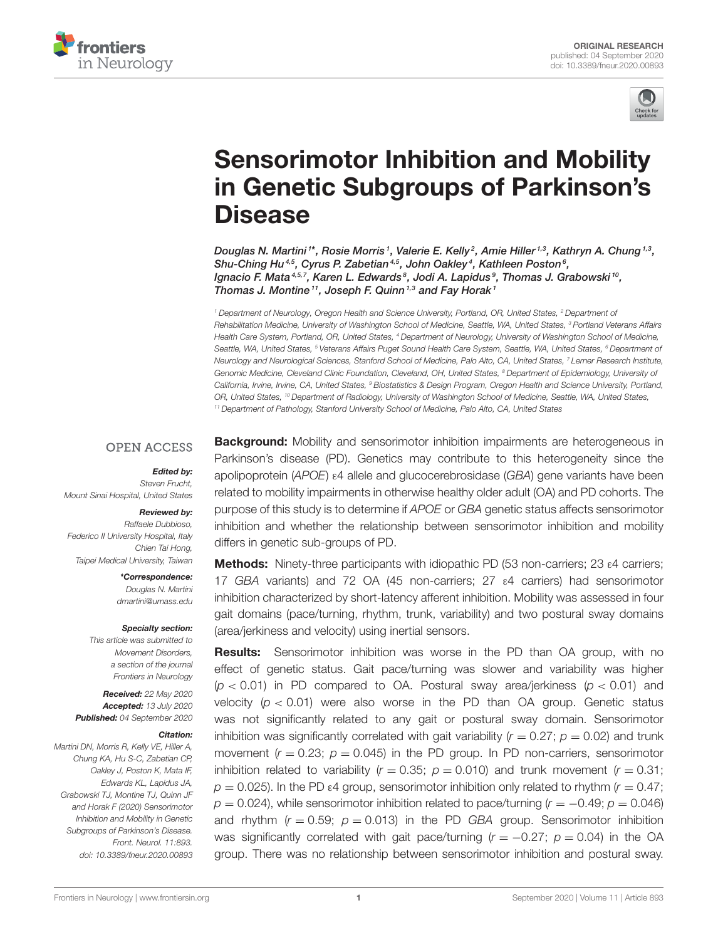



# Sensorimotor Inhibition and Mobility [in Genetic Subgroups of Parkinson's](https://www.frontiersin.org/articles/10.3389/fneur.2020.00893/full) **Disease**

Douglas N. Martini 1\*, Rosie Morris 1, Valerie E. Kelly 2, Amie Hiller <sup>1,3</sup>, Kathryn A. Chung <sup>1,3</sup>, Shu-Ching Hu<sup>4,5</sup>, Cyrus P. Zabetian<sup>4,5</sup>, John Oakley<sup>4</sup>, Kathleen Poston<sup>6</sup>, lgnacio F. Mata<sup>4,5,7</sup>, Karen L. Edwards $^{\text{\tiny{\textregistered}}},$  Jodi A. Lapidus $^{\text{\tiny{\text{0}}}},$  Thomas J. Grabowski  $^{\text{\tiny{\text{10}}}},$ Thomas J. Montine<sup>11</sup>, Joseph F. Quinn<sup>1,3</sup> and Fay Horak<sup>1</sup>

*<sup>1</sup> Department of Neurology, Oregon Health and Science University, Portland, OR, United States, <sup>2</sup> Department of Rehabilitation Medicine, University of Washington School of Medicine, Seattle, WA, United States, <sup>3</sup> Portland Veterans Affairs Health Care System, Portland, OR, United States, <sup>4</sup> Department of Neurology, University of Washington School of Medicine, Seattle, WA, United States, <sup>5</sup> Veterans Affairs Puget Sound Health Care System, Seattle, WA, United States, <sup>6</sup> Department of Neurology and Neurological Sciences, Stanford School of Medicine, Palo Alto, CA, United States, <sup>7</sup> Lerner Research Institute, Genomic Medicine, Cleveland Clinic Foundation, Cleveland, OH, United States, <sup>8</sup> Department of Epidemiology, University of California, Irvine, Irvine, CA, United States, <sup>9</sup> Biostatistics & Design Program, Oregon Health and Science University, Portland, OR, United States, <sup>10</sup> Department of Radiology, University of Washington School of Medicine, Seattle, WA, United States, <sup>11</sup> Department of Pathology, Stanford University School of Medicine, Palo Alto, CA, United States*

### **OPEN ACCESS**

### Edited by:

*Steven Frucht, Mount Sinai Hospital, United States*

#### Reviewed by:

*Raffaele Dubbioso, Federico II University Hospital, Italy Chien Tai Hong, Taipei Medical University, Taiwan*

> \*Correspondence: *Douglas N. Martini [dmartini@umass.edu](mailto:dmartini@umass.edu)*

#### Specialty section:

*This article was submitted to Movement Disorders, a section of the journal Frontiers in Neurology*

Received: *22 May 2020* Accepted: *13 July 2020* Published: *04 September 2020*

#### Citation:

*Martini DN, Morris R, Kelly VE, Hiller A, Chung KA, Hu S-C, Zabetian CP, Oakley J, Poston K, Mata IF, Edwards KL, Lapidus JA, Grabowski TJ, Montine TJ, Quinn JF and Horak F (2020) Sensorimotor Inhibition and Mobility in Genetic Subgroups of Parkinson's Disease. Front. Neurol. 11:893. doi: [10.3389/fneur.2020.00893](https://doi.org/10.3389/fneur.2020.00893)*

**Background:** Mobility and sensorimotor inhibition impairments are heterogeneous in Parkinson's disease (PD). Genetics may contribute to this heterogeneity since the apolipoprotein (*APOE*) ε4 allele and glucocerebrosidase (*GBA*) gene variants have been related to mobility impairments in otherwise healthy older adult (OA) and PD cohorts. The purpose of this study is to determine if *APOE* or *GBA* genetic status affects sensorimotor inhibition and whether the relationship between sensorimotor inhibition and mobility differs in genetic sub-groups of PD.

Methods: Ninety-three participants with idiopathic PD (53 non-carriers; 23 ε4 carriers; 17 *GBA* variants) and 72 OA (45 non-carriers; 27 ε4 carriers) had sensorimotor inhibition characterized by short-latency afferent inhibition. Mobility was assessed in four gait domains (pace/turning, rhythm, trunk, variability) and two postural sway domains (area/jerkiness and velocity) using inertial sensors.

**Results:** Sensorimotor inhibition was worse in the PD than OA group, with no effect of genetic status. Gait pace/turning was slower and variability was higher  $(p < 0.01)$  in PD compared to OA. Postural sway area/jerkiness  $(p < 0.01)$  and velocity  $(p < 0.01)$  were also worse in the PD than OA group. Genetic status was not significantly related to any gait or postural sway domain. Sensorimotor inhibition was significantly correlated with gait variability  $(r = 0.27; p = 0.02)$  and trunk movement  $(r = 0.23; p = 0.045)$  in the PD group. In PD non-carriers, sensorimotor inhibition related to variability  $(r = 0.35; p = 0.010)$  and trunk movement  $(r = 0.31;$  $p = 0.025$ ). In the PD  $\varepsilon$ 4 group, sensorimotor inhibition only related to rhythm ( $r = 0.47$ ;  $p = 0.024$ ), while sensorimotor inhibition related to pace/turning  $(r = -0.49; p = 0.046)$ and rhythm  $(r = 0.59; p = 0.013)$  in the PD *GBA* group. Sensorimotor inhibition was significantly correlated with gait pace/turning  $(r = -0.27; p = 0.04)$  in the OA group. There was no relationship between sensorimotor inhibition and postural sway.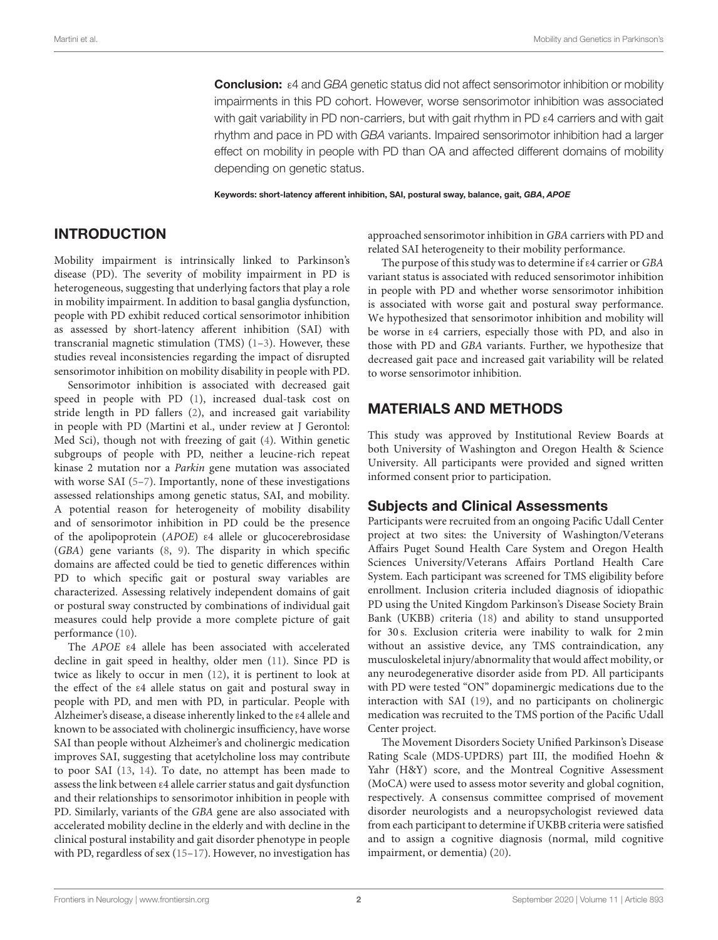Conclusion: ε4 and *GBA* genetic status did not affect sensorimotor inhibition or mobility impairments in this PD cohort. However, worse sensorimotor inhibition was associated with gait variability in PD non-carriers, but with gait rhythm in PD  $\epsilon$ 4 carriers and with gait rhythm and pace in PD with *GBA* variants. Impaired sensorimotor inhibition had a larger effect on mobility in people with PD than OA and affected different domains of mobility depending on genetic status.

Keywords: short-latency afferent inhibition, SAI, postural sway, balance, gait, GBA, APOE

# INTRODUCTION

Mobility impairment is intrinsically linked to Parkinson's disease (PD). The severity of mobility impairment in PD is heterogeneous, suggesting that underlying factors that play a role in mobility impairment. In addition to basal ganglia dysfunction, people with PD exhibit reduced cortical sensorimotor inhibition as assessed by short-latency afferent inhibition (SAI) with transcranial magnetic stimulation (TMS) [\(1–](#page-7-0)[3\)](#page-7-1). However, these studies reveal inconsistencies regarding the impact of disrupted sensorimotor inhibition on mobility disability in people with PD.

Sensorimotor inhibition is associated with decreased gait speed in people with PD [\(1\)](#page-7-0), increased dual-task cost on stride length in PD fallers [\(2\)](#page-7-2), and increased gait variability in people with PD (Martini et al., under review at J Gerontol: Med Sci), though not with freezing of gait [\(4\)](#page-7-3). Within genetic subgroups of people with PD, neither a leucine-rich repeat kinase 2 mutation nor a Parkin gene mutation was associated with worse SAI [\(5](#page-7-4)[–7\)](#page-7-5). Importantly, none of these investigations assessed relationships among genetic status, SAI, and mobility. A potential reason for heterogeneity of mobility disability and of sensorimotor inhibition in PD could be the presence of the apolipoprotein (APOE) ε4 allele or glucocerebrosidase (GBA) gene variants [\(8,](#page-7-6) [9\)](#page-7-7). The disparity in which specific domains are affected could be tied to genetic differences within PD to which specific gait or postural sway variables are characterized. Assessing relatively independent domains of gait or postural sway constructed by combinations of individual gait measures could help provide a more complete picture of gait performance [\(10\)](#page-7-8).

The APOE ε4 allele has been associated with accelerated decline in gait speed in healthy, older men [\(11\)](#page-7-9). Since PD is twice as likely to occur in men [\(12\)](#page-7-10), it is pertinent to look at the effect of the ε4 allele status on gait and postural sway in people with PD, and men with PD, in particular. People with Alzheimer's disease, a disease inherently linked to the ε4 allele and known to be associated with cholinergic insufficiency, have worse SAI than people without Alzheimer's and cholinergic medication improves SAI, suggesting that acetylcholine loss may contribute to poor SAI [\(13,](#page-7-11) [14\)](#page-8-0). To date, no attempt has been made to assess the link between ε4 allele carrier status and gait dysfunction and their relationships to sensorimotor inhibition in people with PD. Similarly, variants of the GBA gene are also associated with accelerated mobility decline in the elderly and with decline in the clinical postural instability and gait disorder phenotype in people with PD, regardless of sex [\(15](#page-8-1)[–17\)](#page-8-2). However, no investigation has approached sensorimotor inhibition in GBA carriers with PD and related SAI heterogeneity to their mobility performance.

The purpose of this study was to determine if ε4 carrier or GBA variant status is associated with reduced sensorimotor inhibition in people with PD and whether worse sensorimotor inhibition is associated with worse gait and postural sway performance. We hypothesized that sensorimotor inhibition and mobility will be worse in ε4 carriers, especially those with PD, and also in those with PD and GBA variants. Further, we hypothesize that decreased gait pace and increased gait variability will be related to worse sensorimotor inhibition.

# MATERIALS AND METHODS

This study was approved by Institutional Review Boards at both University of Washington and Oregon Health & Science University. All participants were provided and signed written informed consent prior to participation.

### Subjects and Clinical Assessments

Participants were recruited from an ongoing Pacific Udall Center project at two sites: the University of Washington/Veterans Affairs Puget Sound Health Care System and Oregon Health Sciences University/Veterans Affairs Portland Health Care System. Each participant was screened for TMS eligibility before enrollment. Inclusion criteria included diagnosis of idiopathic PD using the United Kingdom Parkinson's Disease Society Brain Bank (UKBB) criteria [\(18\)](#page-8-3) and ability to stand unsupported for 30 s. Exclusion criteria were inability to walk for 2 min without an assistive device, any TMS contraindication, any musculoskeletal injury/abnormality that would affect mobility, or any neurodegenerative disorder aside from PD. All participants with PD were tested "ON" dopaminergic medications due to the interaction with SAI [\(19\)](#page-8-4), and no participants on cholinergic medication was recruited to the TMS portion of the Pacific Udall Center project.

The Movement Disorders Society Unified Parkinson's Disease Rating Scale (MDS-UPDRS) part III, the modified Hoehn & Yahr (H&Y) score, and the Montreal Cognitive Assessment (MoCA) were used to assess motor severity and global cognition, respectively. A consensus committee comprised of movement disorder neurologists and a neuropsychologist reviewed data from each participant to determine if UKBB criteria were satisfied and to assign a cognitive diagnosis (normal, mild cognitive impairment, or dementia) [\(20\)](#page-8-5).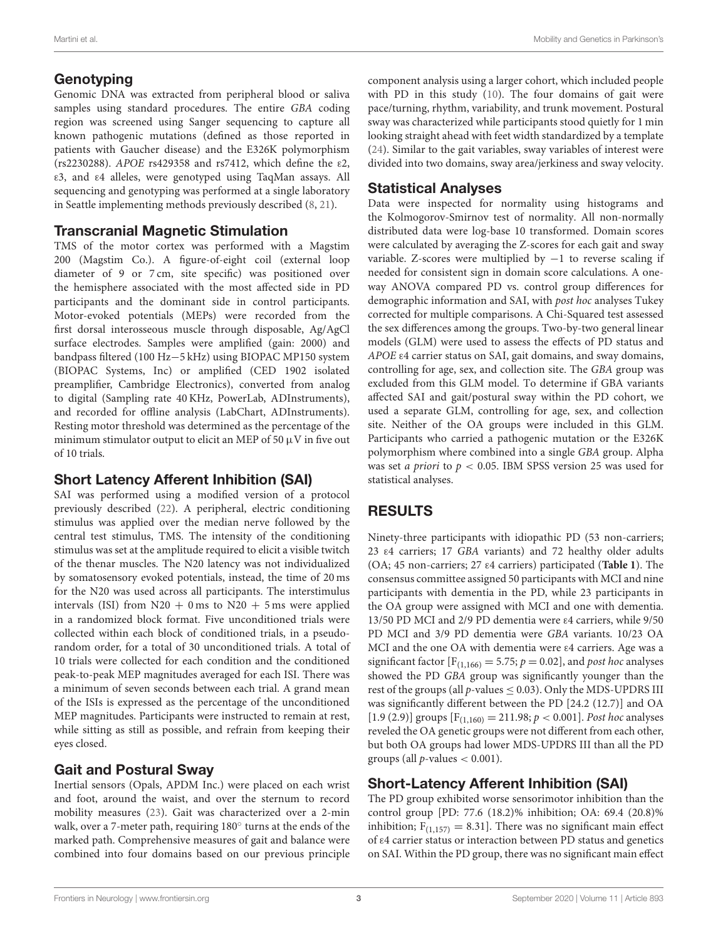# Genotyping

Genomic DNA was extracted from peripheral blood or saliva samples using standard procedures. The entire GBA coding region was screened using Sanger sequencing to capture all known pathogenic mutations (defined as those reported in patients with Gaucher disease) and the E326K polymorphism (rs2230288). APOE rs429358 and rs7412, which define the ε2, ε3, and ε4 alleles, were genotyped using TaqMan assays. All sequencing and genotyping was performed at a single laboratory in Seattle implementing methods previously described [\(8,](#page-7-6) [21\)](#page-8-6).

### Transcranial Magnetic Stimulation

TMS of the motor cortex was performed with a Magstim 200 (Magstim Co.). A figure-of-eight coil (external loop diameter of 9 or 7 cm, site specific) was positioned over the hemisphere associated with the most affected side in PD participants and the dominant side in control participants. Motor-evoked potentials (MEPs) were recorded from the first dorsal interosseous muscle through disposable, Ag/AgCl surface electrodes. Samples were amplified (gain: 2000) and bandpass filtered (100 Hz−5 kHz) using BIOPAC MP150 system (BIOPAC Systems, Inc) or amplified (CED 1902 isolated preamplifier, Cambridge Electronics), converted from analog to digital (Sampling rate 40 KHz, PowerLab, ADInstruments), and recorded for offline analysis (LabChart, ADInstruments). Resting motor threshold was determined as the percentage of the minimum stimulator output to elicit an MEP of 50  $\mu$ V in five out of 10 trials.

# Short Latency Afferent Inhibition (SAI)

SAI was performed using a modified version of a protocol previously described [\(22\)](#page-8-7). A peripheral, electric conditioning stimulus was applied over the median nerve followed by the central test stimulus, TMS. The intensity of the conditioning stimulus was set at the amplitude required to elicit a visible twitch of the thenar muscles. The N20 latency was not individualized by somatosensory evoked potentials, instead, the time of 20 ms for the N20 was used across all participants. The interstimulus intervals (ISI) from  $N20 + 0$  ms to  $N20 + 5$  ms were applied in a randomized block format. Five unconditioned trials were collected within each block of conditioned trials, in a pseudorandom order, for a total of 30 unconditioned trials. A total of 10 trials were collected for each condition and the conditioned peak-to-peak MEP magnitudes averaged for each ISI. There was a minimum of seven seconds between each trial. A grand mean of the ISIs is expressed as the percentage of the unconditioned MEP magnitudes. Participants were instructed to remain at rest, while sitting as still as possible, and refrain from keeping their eyes closed.

# Gait and Postural Sway

Inertial sensors (Opals, APDM Inc.) were placed on each wrist and foot, around the waist, and over the sternum to record mobility measures [\(23\)](#page-8-8). Gait was characterized over a 2-min walk, over a 7-meter path, requiring 180◦ turns at the ends of the marked path. Comprehensive measures of gait and balance were combined into four domains based on our previous principle component analysis using a larger cohort, which included people with PD in this study [\(10\)](#page-7-8). The four domains of gait were pace/turning, rhythm, variability, and trunk movement. Postural sway was characterized while participants stood quietly for 1 min looking straight ahead with feet width standardized by a template [\(24\)](#page-8-9). Similar to the gait variables, sway variables of interest were divided into two domains, sway area/jerkiness and sway velocity.

# Statistical Analyses

Data were inspected for normality using histograms and the Kolmogorov-Smirnov test of normality. All non-normally distributed data were log-base 10 transformed. Domain scores were calculated by averaging the Z-scores for each gait and sway variable. Z-scores were multiplied by  $-1$  to reverse scaling if needed for consistent sign in domain score calculations. A oneway ANOVA compared PD vs. control group differences for demographic information and SAI, with post hoc analyses Tukey corrected for multiple comparisons. A Chi-Squared test assessed the sex differences among the groups. Two-by-two general linear models (GLM) were used to assess the effects of PD status and APOE ε4 carrier status on SAI, gait domains, and sway domains, controlling for age, sex, and collection site. The GBA group was excluded from this GLM model. To determine if GBA variants affected SAI and gait/postural sway within the PD cohort, we used a separate GLM, controlling for age, sex, and collection site. Neither of the OA groups were included in this GLM. Participants who carried a pathogenic mutation or the E326K polymorphism where combined into a single GBA group. Alpha was set *a priori* to  $p < 0.05$ . IBM SPSS version 25 was used for statistical analyses.

# RESULTS

Ninety-three participants with idiopathic PD (53 non-carriers; 23 ε4 carriers; 17 GBA variants) and 72 healthy older adults (OA; 45 non-carriers; 27 ε4 carriers) participated (**[Table 1](#page-3-0)**). The consensus committee assigned 50 participants with MCI and nine participants with dementia in the PD, while 23 participants in the OA group were assigned with MCI and one with dementia. 13/50 PD MCI and 2/9 PD dementia were ε4 carriers, while 9/50 PD MCI and 3/9 PD dementia were GBA variants. 10/23 OA MCI and the one OA with dementia were ε4 carriers. Age was a significant factor  $[F_{(1,166)} = 5.75; p = 0.02]$ , and *post hoc* analyses showed the PD GBA group was significantly younger than the rest of the groups (all  $p$ -values  $\leq$  0.03). Only the MDS-UPDRS III was significantly different between the PD [24.2 (12.7)] and OA [1.9 (2.9)] groups  $[F_{(1,160)} = 211.98; p < 0.001]$ . Post hoc analyses reveled the OA genetic groups were not different from each other, but both OA groups had lower MDS-UPDRS III than all the PD groups (all  $p$ -values  $< 0.001$ ).

# Short-Latency Afferent Inhibition (SAI)

The PD group exhibited worse sensorimotor inhibition than the control group [PD: 77.6 (18.2)% inhibition; OA: 69.4 (20.8)% inhibition;  $F_{(1,157)} = 8.31$ . There was no significant main effect of ε4 carrier status or interaction between PD status and genetics on SAI. Within the PD group, there was no significant main effect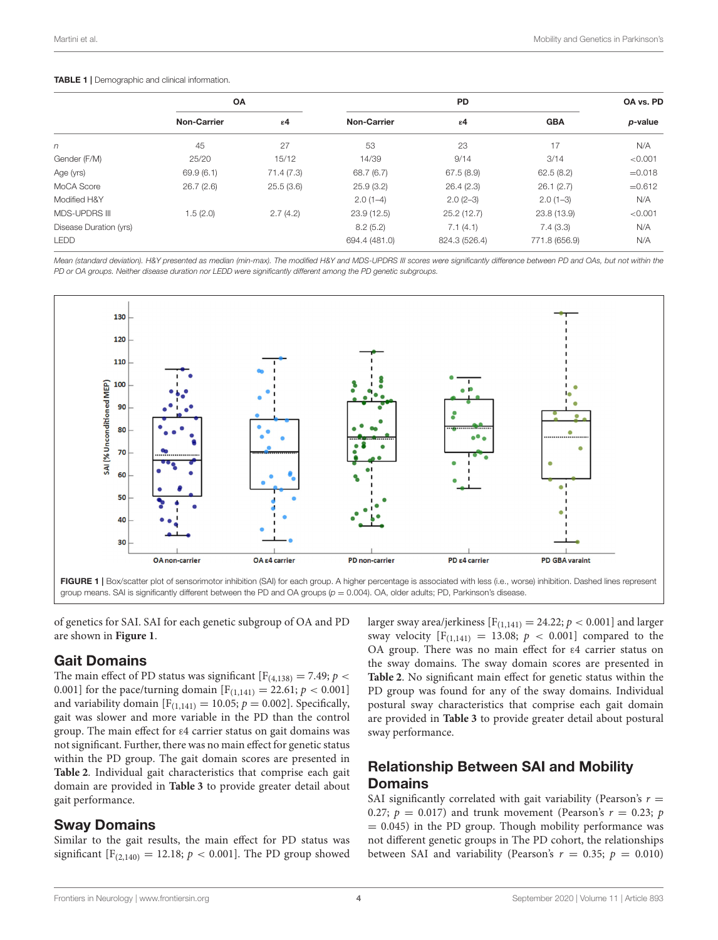#### <span id="page-3-0"></span>TABLE 1 | Demographic and clinical information.

|                        | OA                 |                 |                    | OA vs. PD       |               |          |
|------------------------|--------------------|-----------------|--------------------|-----------------|---------------|----------|
|                        | <b>Non-Carrier</b> | $\varepsilon$ 4 | <b>Non-Carrier</b> | $\varepsilon$ 4 | <b>GBA</b>    | p-value  |
| n                      | 45                 | 27              | 53                 | 23              | 17            | N/A      |
| Gender (F/M)           | 25/20              | 15/12           | 14/39              | 9/14            | 3/14          | < 0.001  |
| Age (yrs)              | 69.9(6.1)          | 71.4(7.3)       | 68.7(6.7)          | 67.5(8.9)       | 62.5(8.2)     | $=0.018$ |
| MoCA Score             | 26.7(2.6)          | 25.5(3.6)       | 25.9(3.2)          | 26.4(2.3)       | 26.1(2.7)     | $=0.612$ |
| Modified H&Y           |                    |                 | $2.0(1-4)$         | $2.0(2-3)$      | $2.0(1-3)$    | N/A      |
| MDS-UPDRS III          | 1.5(2.0)           | 2.7(4.2)        | 23.9(12.5)         | 25.2(12.7)      | 23.8 (13.9)   | < 0.001  |
| Disease Duration (yrs) |                    |                 | 8.2(5.2)           | 7.1(4.1)        | 7.4(3.3)      | N/A      |
| <b>LEDD</b>            |                    |                 | 694.4 (481.0)      | 824.3 (526.4)   | 771.8 (656.9) | N/A      |

*Mean (standard deviation). H&Y presented as median (min-max). The modified H&Y and MDS-UPDRS III scores were significantly difference between PD and OAs, but not within the PD or OA groups. Neither disease duration nor LEDD were significantly different among the PD genetic subgroups.*



<span id="page-3-1"></span>of genetics for SAI. SAI for each genetic subgroup of OA and PD are shown in **[Figure 1](#page-3-1)**.

# Gait Domains

The main effect of PD status was significant  $[F_{(4,138)} = 7.49; p <$ 0.001] for the pace/turning domain  $[F_{(1,141)} = 22.61; p < 0.001]$ and variability domain  $[F_{(1,141)} = 10.05; p = 0.002]$ . Specifically, gait was slower and more variable in the PD than the control group. The main effect for ε4 carrier status on gait domains was not significant. Further, there was no main effect for genetic status within the PD group. The gait domain scores are presented in **[Table 2](#page-4-0)**. Individual gait characteristics that comprise each gait domain are provided in **[Table 3](#page-4-1)** to provide greater detail about gait performance.

### Sway Domains

Similar to the gait results, the main effect for PD status was significant  $[F<sub>(2,140)</sub> = 12.18; p < 0.001]$ . The PD group showed

larger sway area/jerkiness  $[F<sub>(1,141)</sub> = 24.22; p < 0.001]$  and larger sway velocity  $[F_{(1,141)} = 13.08; p < 0.001]$  compared to the OA group. There was no main effect for ε4 carrier status on the sway domains. The sway domain scores are presented in **[Table 2](#page-4-0)**. No significant main effect for genetic status within the PD group was found for any of the sway domains. Individual postural sway characteristics that comprise each gait domain are provided in **[Table 3](#page-4-1)** to provide greater detail about postural sway performance.

# Relationship Between SAI and Mobility Domains

SAI significantly correlated with gait variability (Pearson's  $r =$ 0.27;  $p = 0.017$ ) and trunk movement (Pearson's  $r = 0.23$ ; p  $= 0.045$ ) in the PD group. Though mobility performance was not different genetic groups in The PD cohort, the relationships between SAI and variability (Pearson's  $r = 0.35$ ;  $p = 0.010$ )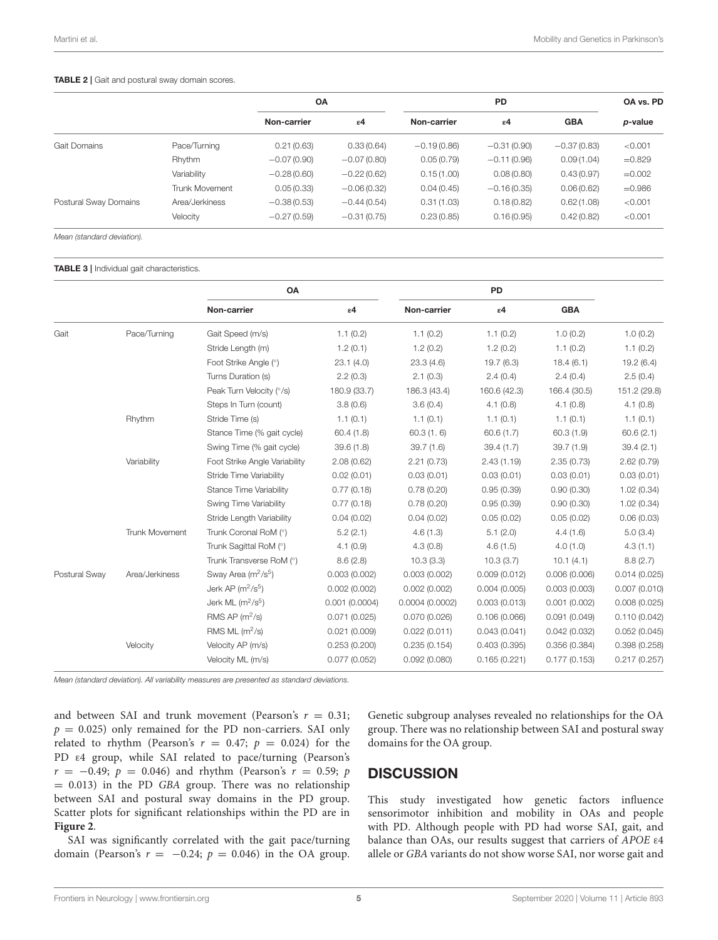#### <span id="page-4-0"></span>TABLE 2 | Gait and postural sway domain scores.

|                       |                       | <b>OA</b>     |                 | <b>PD</b>     |                 |               | OA vs. PD |
|-----------------------|-----------------------|---------------|-----------------|---------------|-----------------|---------------|-----------|
|                       |                       | Non-carrier   | $\varepsilon$ 4 | Non-carrier   | $\varepsilon$ 4 | <b>GBA</b>    | p-value   |
| <b>Gait Domains</b>   | Pace/Turning          | 0.21(0.63)    | 0.33(0.64)      | $-0.19(0.86)$ | $-0.31(0.90)$   | $-0.37(0.83)$ | < 0.001   |
|                       | Rhythm                | $-0.07(0.90)$ | $-0.07(0.80)$   | 0.05(0.79)    | $-0.11(0.96)$   | 0.09(1.04)    | $=0.829$  |
|                       | Variability           | $-0.28(0.60)$ | $-0.22(0.62)$   | 0.15(1.00)    | 0.08(0.80)      | 0.43(0.97)    | $=0.002$  |
|                       | <b>Trunk Movement</b> | 0.05(0.33)    | $-0.06(0.32)$   | 0.04(0.45)    | $-0.16(0.35)$   | 0.06(0.62)    | $=0.986$  |
| Postural Sway Domains | Area/Jerkiness        | $-0.38(0.53)$ | $-0.44(0.54)$   | 0.31(1.03)    | 0.18(0.82)      | 0.62(1.08)    | < 0.001   |
|                       | Velocity              | $-0.27(0.59)$ | $-0.31(0.75)$   | 0.23(0.85)    | 0.16(0.95)      | 0.42(0.82)    | < 0.001   |

*Mean (standard deviation).*

#### <span id="page-4-1"></span>TABLE 3 | Individual gait characteristics.

|               |                | OA                                          |                 | PD             |                 |              |              |
|---------------|----------------|---------------------------------------------|-----------------|----------------|-----------------|--------------|--------------|
|               |                | Non-carrier                                 | $\varepsilon$ 4 | Non-carrier    | $\varepsilon$ 4 | <b>GBA</b>   |              |
| Gait          | Pace/Turning   | Gait Speed (m/s)                            | 1.1(0.2)        | 1.1(0.2)       | 1.1(0.2)        | 1.0(0.2)     | 1.0(0.2)     |
|               |                | Stride Length (m)                           | 1.2(0.1)        | 1.2(0.2)       | 1.2(0.2)        | 1.1(0.2)     | 1.1(0.2)     |
|               |                | Foot Strike Angle (°)                       | 23.1(4.0)       | 23.3(4.6)      | 19.7(6.3)       | 18.4(6.1)    | 19.2(6.4)    |
|               |                | Turns Duration (s)                          | 2.2(0.3)        | 2.1(0.3)       | 2.4(0.4)        | 2.4(0.4)     | 2.5(0.4)     |
|               |                | Peak Turn Velocity (°/s)                    | 180.9 (33.7)    | 186.3 (43.4)   | 160.6 (42.3)    | 166.4 (30.5) | 151.2 (29.8) |
|               |                | Steps In Turn (count)                       | 3.8(0.6)        | 3.6(0.4)       | 4.1(0.8)        | 4.1(0.8)     | 4.1(0.8)     |
|               | Rhythm         | Stride Time (s)                             | 1.1(0.1)        | 1.1(0.1)       | 1.1(0.1)        | 1.1(0.1)     | 1.1(0.1)     |
|               |                | Stance Time (% gait cycle)                  | 60.4(1.8)       | 60.3(1.6)      | 60.6 (1.7)      | 60.3 (1.9)   | 60.6(2.1)    |
|               |                | Swing Time (% gait cycle)                   | 39.6(1.8)       | 39.7(1.6)      | 39.4(1.7)       | 39.7(1.9)    | 39.4(2.1)    |
|               | Variability    | Foot Strike Angle Variability               | 2.08(0.62)      | 2.21(0.73)     | 2.43(1.19)      | 2.35(0.73)   | 2.62(0.79)   |
|               |                | Stride Time Variability                     | 0.02(0.01)      | 0.03(0.01)     | 0.03(0.01)      | 0.03(0.01)   | 0.03(0.01)   |
|               |                | <b>Stance Time Variability</b>              | 0.77(0.18)      | 0.78(0.20)     | 0.95(0.39)      | 0.90(0.30)   | 1.02(0.34)   |
|               |                | Swing Time Variability                      | 0.77(0.18)      | 0.78(0.20)     | 0.95(0.39)      | 0.90(0.30)   | 1.02(0.34)   |
|               |                | Stride Length Variability                   | 0.04(0.02)      | 0.04(0.02)     | 0.05(0.02)      | 0.05(0.02)   | 0.06(0.03)   |
|               | Trunk Movement | Trunk Coronal RoM (°)                       | 5.2(2.1)        | 4.6(1.3)       | 5.1(2.0)        | 4.4(1.6)     | 5.0(3.4)     |
|               |                | Trunk Sagittal RoM (°)                      | 4.1(0.9)        | 4.3(0.8)       | 4.6(1.5)        | 4.0(1.0)     | 4.3(1.1)     |
|               |                | Trunk Transverse RoM (°)                    | 8.6(2.8)        | 10.3(3.3)      | 10.3(3.7)       | 10.1(4.1)    | 8.8(2.7)     |
| Postural Sway | Area/Jerkiness | Sway Area (m <sup>2</sup> /s <sup>5</sup> ) | 0.003(0.002)    | 0.003(0.002)   | 0.009(0.012)    | 0.006(0.006) | 0.014(0.025) |
|               |                | Jerk AP $(m^2/s^5)$                         | 0.002(0.002)    | 0.002(0.002)   | 0.004(0.005)    | 0.003(0.003) | 0.007(0.010) |
|               |                | Jerk ML $(m^2/s^5)$                         | 0.001(0.0004)   | 0.0004(0.0002) | 0.003(0.013)    | 0.001(0.002) | 0.008(0.025) |
|               |                | RMS AP $(m^2/s)$                            | 0.071(0.025)    | 0.070(0.026)   | 0.106(0.066)    | 0.091(0.049) | 0.110(0.042) |
|               |                | RMS ML $(m^2/s)$                            | 0.021(0.009)    | 0.022(0.011)   | 0.043(0.041)    | 0.042(0.032) | 0.052(0.045) |
|               | Velocity       | Velocity AP (m/s)                           | 0.253(0.200)    | 0.235(0.154)   | 0.403(0.395)    | 0.356(0.384) | 0.398(0.258) |
|               |                | Velocity ML (m/s)                           | 0.077(0.052)    | 0.092(0.080)   | 0.165(0.221)    | 0.177(0.153) | 0.217(0.257) |

*Mean (standard deviation). All variability measures are presented as standard deviations.*

and between SAI and trunk movement (Pearson's  $r = 0.31$ ;  $p = 0.025$ ) only remained for the PD non-carriers. SAI only related to rhythm (Pearson's  $r = 0.47$ ;  $p = 0.024$ ) for the PD ε4 group, while SAI related to pace/turning (Pearson's  $r = -0.49; p = 0.046$ ) and rhythm (Pearson's  $r = 0.59; p$ = 0.013) in the PD GBA group. There was no relationship between SAI and postural sway domains in the PD group. Scatter plots for significant relationships within the PD are in **[Figure 2](#page-5-0)**.

SAI was significantly correlated with the gait pace/turning domain (Pearson's  $r = -0.24$ ;  $p = 0.046$ ) in the OA group.

Genetic subgroup analyses revealed no relationships for the OA group. There was no relationship between SAI and postural sway domains for the OA group.

### **DISCUSSION**

This study investigated how genetic factors influence sensorimotor inhibition and mobility in OAs and people with PD. Although people with PD had worse SAI, gait, and balance than OAs, our results suggest that carriers of APOE ε4 allele or GBA variants do not show worse SAI, nor worse gait and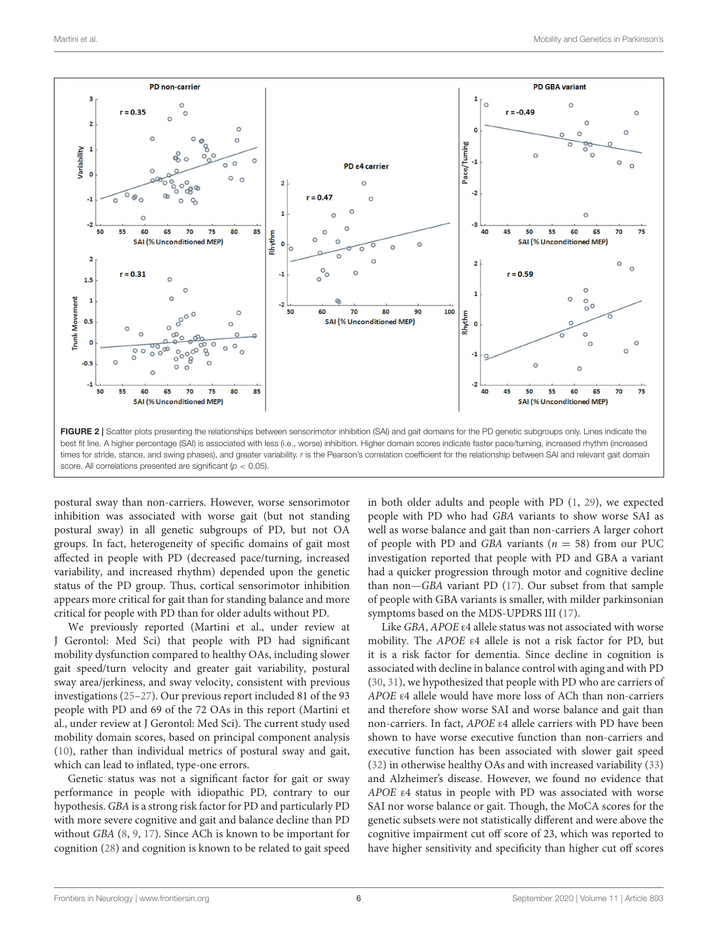

<span id="page-5-0"></span>postural sway than non-carriers. However, worse sensorimotor inhibition was associated with worse gait (but not standing postural sway) in all genetic subgroups of PD, but not OA groups. In fact, heterogeneity of specific domains of gait most affected in people with PD (decreased pace/turning, increased variability, and increased rhythm) depended upon the genetic status of the PD group. Thus, cortical sensorimotor inhibition appears more critical for gait than for standing balance and more critical for people with PD than for older adults without PD.

We previously reported (Martini et al., under review at J Gerontol: Med Sci) that people with PD had significant mobility dysfunction compared to healthy OAs, including slower gait speed/turn velocity and greater gait variability, postural sway area/jerkiness, and sway velocity, consistent with previous investigations [\(25–](#page-8-10)[27\)](#page-8-11). Our previous report included 81 of the 93 people with PD and 69 of the 72 OAs in this report (Martini et al., under review at J Gerontol: Med Sci). The current study used mobility domain scores, based on principal component analysis [\(10\)](#page-7-8), rather than individual metrics of postural sway and gait, which can lead to inflated, type-one errors.

Genetic status was not a significant factor for gait or sway performance in people with idiopathic PD, contrary to our hypothesis. GBA is a strong risk factor for PD and particularly PD with more severe cognitive and gait and balance decline than PD without GBA [\(8,](#page-7-6) [9,](#page-7-7) [17\)](#page-8-2). Since ACh is known to be important for cognition [\(28\)](#page-8-12) and cognition is known to be related to gait speed in both older adults and people with PD [\(1,](#page-7-0) [29\)](#page-8-13), we expected people with PD who had GBA variants to show worse SAI as well as worse balance and gait than non-carriers A larger cohort of people with PD and GBA variants ( $n = 58$ ) from our PUC investigation reported that people with PD and GBA a variant had a quicker progression through motor and cognitive decline than non—GBA variant PD [\(17\)](#page-8-2). Our subset from that sample of people with GBA variants is smaller, with milder parkinsonian symptoms based on the MDS-UPDRS III [\(17\)](#page-8-2).

Like GBA, APOE ε4 allele status was not associated with worse mobility. The APOE ε4 allele is not a risk factor for PD, but it is a risk factor for dementia. Since decline in cognition is associated with decline in balance control with aging and with PD [\(30,](#page-8-14) [31\)](#page-8-15), we hypothesized that people with PD who are carriers of APOE ε4 allele would have more loss of ACh than non-carriers and therefore show worse SAI and worse balance and gait than non-carriers. In fact, APOE ε4 allele carriers with PD have been shown to have worse executive function than non-carriers and executive function has been associated with slower gait speed [\(32\)](#page-8-16) in otherwise healthy OAs and with increased variability [\(33\)](#page-8-17) and Alzheimer's disease. However, we found no evidence that APOE ε4 status in people with PD was associated with worse SAI nor worse balance or gait. Though, the MoCA scores for the genetic subsets were not statistically different and were above the cognitive impairment cut off score of 23, which was reported to have higher sensitivity and specificity than higher cut off scores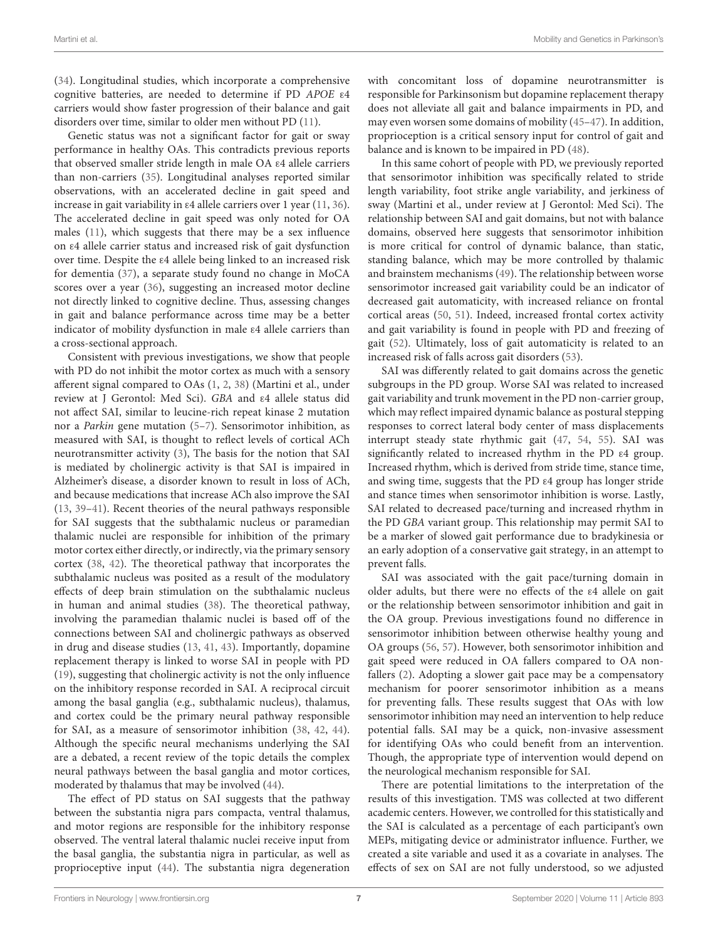[\(34\)](#page-8-18). Longitudinal studies, which incorporate a comprehensive cognitive batteries, are needed to determine if PD APOE ε4 carriers would show faster progression of their balance and gait disorders over time, similar to older men without PD [\(11\)](#page-7-9).

Genetic status was not a significant factor for gait or sway performance in healthy OAs. This contradicts previous reports that observed smaller stride length in male OA ε4 allele carriers than non-carriers [\(35\)](#page-8-19). Longitudinal analyses reported similar observations, with an accelerated decline in gait speed and increase in gait variability in ε4 allele carriers over 1 year [\(11,](#page-7-9) [36\)](#page-8-20). The accelerated decline in gait speed was only noted for OA males [\(11\)](#page-7-9), which suggests that there may be a sex influence on ε4 allele carrier status and increased risk of gait dysfunction over time. Despite the ε4 allele being linked to an increased risk for dementia [\(37\)](#page-8-21), a separate study found no change in MoCA scores over a year [\(36\)](#page-8-20), suggesting an increased motor decline not directly linked to cognitive decline. Thus, assessing changes in gait and balance performance across time may be a better indicator of mobility dysfunction in male ε4 allele carriers than a cross-sectional approach.

Consistent with previous investigations, we show that people with PD do not inhibit the motor cortex as much with a sensory afferent signal compared to OAs [\(1,](#page-7-0) [2,](#page-7-2) [38\)](#page-8-22) (Martini et al., under review at J Gerontol: Med Sci). GBA and ε4 allele status did not affect SAI, similar to leucine-rich repeat kinase 2 mutation nor a Parkin gene mutation [\(5](#page-7-4)[–7\)](#page-7-5). Sensorimotor inhibition, as measured with SAI, is thought to reflect levels of cortical ACh neurotransmitter activity [\(3\)](#page-7-1), The basis for the notion that SAI is mediated by cholinergic activity is that SAI is impaired in Alzheimer's disease, a disorder known to result in loss of ACh, and because medications that increase ACh also improve the SAI [\(13,](#page-7-11) [39](#page-8-23)[–41\)](#page-8-24). Recent theories of the neural pathways responsible for SAI suggests that the subthalamic nucleus or paramedian thalamic nuclei are responsible for inhibition of the primary motor cortex either directly, or indirectly, via the primary sensory cortex [\(38,](#page-8-22) [42\)](#page-8-25). The theoretical pathway that incorporates the subthalamic nucleus was posited as a result of the modulatory effects of deep brain stimulation on the subthalamic nucleus in human and animal studies [\(38\)](#page-8-22). The theoretical pathway, involving the paramedian thalamic nuclei is based off of the connections between SAI and cholinergic pathways as observed in drug and disease studies [\(13,](#page-7-11) [41,](#page-8-24) [43\)](#page-8-26). Importantly, dopamine replacement therapy is linked to worse SAI in people with PD [\(19\)](#page-8-4), suggesting that cholinergic activity is not the only influence on the inhibitory response recorded in SAI. A reciprocal circuit among the basal ganglia (e.g., subthalamic nucleus), thalamus, and cortex could be the primary neural pathway responsible for SAI, as a measure of sensorimotor inhibition [\(38,](#page-8-22) [42,](#page-8-25) [44\)](#page-8-27). Although the specific neural mechanisms underlying the SAI are a debated, a recent review of the topic details the complex neural pathways between the basal ganglia and motor cortices, moderated by thalamus that may be involved [\(44\)](#page-8-27).

The effect of PD status on SAI suggests that the pathway between the substantia nigra pars compacta, ventral thalamus, and motor regions are responsible for the inhibitory response observed. The ventral lateral thalamic nuclei receive input from the basal ganglia, the substantia nigra in particular, as well as proprioceptive input [\(44\)](#page-8-27). The substantia nigra degeneration with concomitant loss of dopamine neurotransmitter is responsible for Parkinsonism but dopamine replacement therapy does not alleviate all gait and balance impairments in PD, and may even worsen some domains of mobility [\(45–](#page-8-28)[47\)](#page-8-29). In addition, proprioception is a critical sensory input for control of gait and balance and is known to be impaired in PD [\(48\)](#page-8-30).

In this same cohort of people with PD, we previously reported that sensorimotor inhibition was specifically related to stride length variability, foot strike angle variability, and jerkiness of sway (Martini et al., under review at J Gerontol: Med Sci). The relationship between SAI and gait domains, but not with balance domains, observed here suggests that sensorimotor inhibition is more critical for control of dynamic balance, than static, standing balance, which may be more controlled by thalamic and brainstem mechanisms [\(49\)](#page-8-31). The relationship between worse sensorimotor increased gait variability could be an indicator of decreased gait automaticity, with increased reliance on frontal cortical areas [\(50,](#page-8-32) [51\)](#page-8-33). Indeed, increased frontal cortex activity and gait variability is found in people with PD and freezing of gait [\(52\)](#page-8-34). Ultimately, loss of gait automaticity is related to an increased risk of falls across gait disorders [\(53\)](#page-9-0).

SAI was differently related to gait domains across the genetic subgroups in the PD group. Worse SAI was related to increased gait variability and trunk movement in the PD non-carrier group, which may reflect impaired dynamic balance as postural stepping responses to correct lateral body center of mass displacements interrupt steady state rhythmic gait [\(47,](#page-8-29) [54,](#page-9-1) [55\)](#page-9-2). SAI was significantly related to increased rhythm in the PD ε4 group. Increased rhythm, which is derived from stride time, stance time, and swing time, suggests that the PD ε4 group has longer stride and stance times when sensorimotor inhibition is worse. Lastly, SAI related to decreased pace/turning and increased rhythm in the PD GBA variant group. This relationship may permit SAI to be a marker of slowed gait performance due to bradykinesia or an early adoption of a conservative gait strategy, in an attempt to prevent falls.

SAI was associated with the gait pace/turning domain in older adults, but there were no effects of the ε4 allele on gait or the relationship between sensorimotor inhibition and gait in the OA group. Previous investigations found no difference in sensorimotor inhibition between otherwise healthy young and OA groups [\(56,](#page-9-3) [57\)](#page-9-4). However, both sensorimotor inhibition and gait speed were reduced in OA fallers compared to OA nonfallers [\(2\)](#page-7-2). Adopting a slower gait pace may be a compensatory mechanism for poorer sensorimotor inhibition as a means for preventing falls. These results suggest that OAs with low sensorimotor inhibition may need an intervention to help reduce potential falls. SAI may be a quick, non-invasive assessment for identifying OAs who could benefit from an intervention. Though, the appropriate type of intervention would depend on the neurological mechanism responsible for SAI.

There are potential limitations to the interpretation of the results of this investigation. TMS was collected at two different academic centers. However, we controlled for this statistically and the SAI is calculated as a percentage of each participant's own MEPs, mitigating device or administrator influence. Further, we created a site variable and used it as a covariate in analyses. The effects of sex on SAI are not fully understood, so we adjusted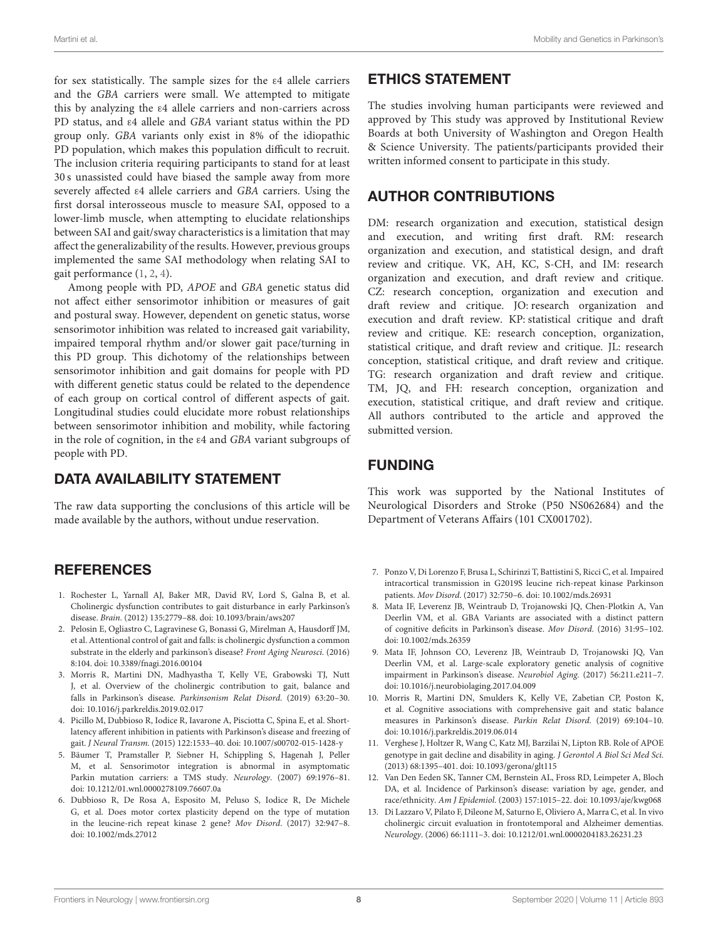for sex statistically. The sample sizes for the ε4 allele carriers and the GBA carriers were small. We attempted to mitigate this by analyzing the ε4 allele carriers and non-carriers across PD status, and ε4 allele and GBA variant status within the PD group only. GBA variants only exist in 8% of the idiopathic PD population, which makes this population difficult to recruit. The inclusion criteria requiring participants to stand for at least 30 s unassisted could have biased the sample away from more severely affected ε4 allele carriers and GBA carriers. Using the first dorsal interosseous muscle to measure SAI, opposed to a lower-limb muscle, when attempting to elucidate relationships between SAI and gait/sway characteristics is a limitation that may affect the generalizability of the results. However, previous groups implemented the same SAI methodology when relating SAI to gait performance [\(1,](#page-7-0) [2,](#page-7-2) [4\)](#page-7-3).

Among people with PD, APOE and GBA genetic status did not affect either sensorimotor inhibition or measures of gait and postural sway. However, dependent on genetic status, worse sensorimotor inhibition was related to increased gait variability, impaired temporal rhythm and/or slower gait pace/turning in this PD group. This dichotomy of the relationships between sensorimotor inhibition and gait domains for people with PD with different genetic status could be related to the dependence of each group on cortical control of different aspects of gait. Longitudinal studies could elucidate more robust relationships between sensorimotor inhibition and mobility, while factoring in the role of cognition, in the ε4 and GBA variant subgroups of people with PD.

# DATA AVAILABILITY STATEMENT

The raw data supporting the conclusions of this article will be made available by the authors, without undue reservation.

# **REFERENCES**

- <span id="page-7-0"></span>1. Rochester L, Yarnall AJ, Baker MR, David RV, Lord S, Galna B, et al. Cholinergic dysfunction contributes to gait disturbance in early Parkinson's disease. Brain. (2012) 135:2779–88. doi: [10.1093/brain/aws207](https://doi.org/10.1093/brain/aws207)
- <span id="page-7-2"></span>2. Pelosin E, Ogliastro C, Lagravinese G, Bonassi G, Mirelman A, Hausdorff JM, et al. Attentional control of gait and falls: is cholinergic dysfunction a common substrate in the elderly and parkinson's disease? Front Aging Neurosci. (2016) 8:104. doi: [10.3389/fnagi.2016.00104](https://doi.org/10.3389/fnagi.2016.00104)
- <span id="page-7-1"></span>3. Morris R, Martini DN, Madhyastha T, Kelly VE, Grabowski TJ, Nutt J, et al. Overview of the cholinergic contribution to gait, balance and falls in Parkinson's disease. Parkinsonism Relat Disord. (2019) 63:20–30. doi: [10.1016/j.parkreldis.2019.02.017](https://doi.org/10.1016/j.parkreldis.2019.02.017)
- <span id="page-7-3"></span>4. Picillo M, Dubbioso R, Iodice R, Iavarone A, Pisciotta C, Spina E, et al. Shortlatency afferent inhibition in patients with Parkinson's disease and freezing of gait. J Neural Transm. (2015) 122:1533–40. doi: [10.1007/s00702-015-1428-y](https://doi.org/10.1007/s00702-015-1428-y)
- <span id="page-7-4"></span>5. Bäumer T, Pramstaller P, Siebner H, Schippling S, Hagenah J, Peller M, et al. Sensorimotor integration is abnormal in asymptomatic Parkin mutation carriers: a TMS study. Neurology. (2007) 69:1976–81. doi: [10.1212/01.wnl.0000278109.76607.0a](https://doi.org/10.1212/01.wnl.0000278109.76607.0a)
- 6. Dubbioso R, De Rosa A, Esposito M, Peluso S, Iodice R, De Michele G, et al. Does motor cortex plasticity depend on the type of mutation in the leucine-rich repeat kinase 2 gene? Mov Disord. (2017) 32:947–8. doi: [10.1002/mds.27012](https://doi.org/10.1002/mds.27012)

### ETHICS STATEMENT

The studies involving human participants were reviewed and approved by This study was approved by Institutional Review Boards at both University of Washington and Oregon Health & Science University. The patients/participants provided their written informed consent to participate in this study.

### AUTHOR CONTRIBUTIONS

DM: research organization and execution, statistical design and execution, and writing first draft. RM: research organization and execution, and statistical design, and draft review and critique. VK, AH, KC, S-CH, and IM: research organization and execution, and draft review and critique. CZ: research conception, organization and execution and draft review and critique. JO: research organization and execution and draft review. KP: statistical critique and draft review and critique. KE: research conception, organization, statistical critique, and draft review and critique. JL: research conception, statistical critique, and draft review and critique. TG: research organization and draft review and critique. TM, JQ, and FH: research conception, organization and execution, statistical critique, and draft review and critique. All authors contributed to the article and approved the submitted version.

# FUNDING

This work was supported by the National Institutes of Neurological Disorders and Stroke (P50 NS062684) and the Department of Veterans Affairs (101 CX001702).

- <span id="page-7-5"></span>7. Ponzo V, Di Lorenzo F, Brusa L, Schirinzi T, Battistini S, Ricci C, et al. Impaired intracortical transmission in G2019S leucine rich-repeat kinase Parkinson patients. Mov Disord. (2017) 32:750–6. doi: [10.1002/mds.26931](https://doi.org/10.1002/mds.26931)
- <span id="page-7-6"></span>8. Mata IF, Leverenz JB, Weintraub D, Trojanowski JQ, Chen-Plotkin A, Van Deerlin VM, et al. GBA Variants are associated with a distinct pattern of cognitive deficits in Parkinson's disease. Mov Disord. (2016) 31:95–102. doi: [10.1002/mds.26359](https://doi.org/10.1002/mds.26359)
- <span id="page-7-7"></span>9. Mata IF, Johnson CO, Leverenz JB, Weintraub D, Trojanowski JQ, Van Deerlin VM, et al. Large-scale exploratory genetic analysis of cognitive impairment in Parkinson's disease. Neurobiol Aging. (2017) 56:211.e211–7. doi: [10.1016/j.neurobiolaging.2017.04.009](https://doi.org/10.1016/j.neurobiolaging.2017.04.009)
- <span id="page-7-8"></span>10. Morris R, Martini DN, Smulders K, Kelly VE, Zabetian CP, Poston K, et al. Cognitive associations with comprehensive gait and static balance measures in Parkinson's disease. Parkin Relat Disord. (2019) 69:104–10. doi: [10.1016/j.parkreldis.2019.06.014](https://doi.org/10.1016/j.parkreldis.2019.06.014)
- <span id="page-7-9"></span>11. Verghese J, Holtzer R, Wang C, Katz MJ, Barzilai N, Lipton RB. Role of APOE genotype in gait decline and disability in aging. J Gerontol A Biol Sci Med Sci. (2013) 68:1395–401. doi: [10.1093/gerona/glt115](https://doi.org/10.1093/gerona/glt115)
- <span id="page-7-10"></span>12. Van Den Eeden SK, Tanner CM, Bernstein AL, Fross RD, Leimpeter A, Bloch DA, et al. Incidence of Parkinson's disease: variation by age, gender, and race/ethnicity. Am J Epidemiol. (2003) 157:1015–22. doi: [10.1093/aje/kwg068](https://doi.org/10.1093/aje/kwg068)
- <span id="page-7-11"></span>13. Di Lazzaro V, Pilato F, Dileone M, Saturno E, Oliviero A, Marra C, et al. In vivo cholinergic circuit evaluation in frontotemporal and Alzheimer dementias. Neurology. (2006) 66:1111–3. doi: [10.1212/01.wnl.0000204183.26231.23](https://doi.org/10.1212/01.wnl.0000204183.26231.23)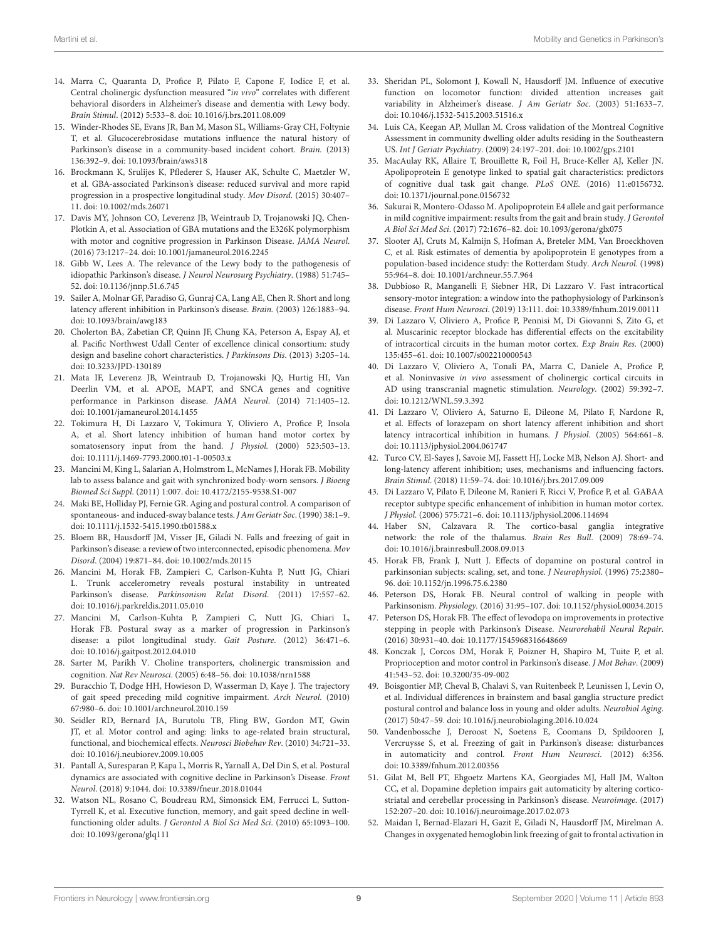- <span id="page-8-0"></span>14. Marra C, Quaranta D, Profice P, Pilato F, Capone F, Iodice F, et al. Central cholinergic dysfunction measured "in vivo" correlates with different behavioral disorders in Alzheimer's disease and dementia with Lewy body. Brain Stimul. (2012) 5:533–8. doi: [10.1016/j.brs.2011.08.009](https://doi.org/10.1016/j.brs.2011.08.009)
- <span id="page-8-1"></span>15. Winder-Rhodes SE, Evans JR, Ban M, Mason SL, Williams-Gray CH, Foltynie T, et al. Glucocerebrosidase mutations influence the natural history of Parkinson's disease in a community-based incident cohort. Brain. (2013) 136:392–9. doi: [10.1093/brain/aws318](https://doi.org/10.1093/brain/aws318)
- 16. Brockmann K, Srulijes K, Pflederer S, Hauser AK, Schulte C, Maetzler W, et al. GBA-associated Parkinson's disease: reduced survival and more rapid progression in a prospective longitudinal study. Mov Disord. (2015) 30:407– 11. doi: [10.1002/mds.26071](https://doi.org/10.1002/mds.26071)
- <span id="page-8-2"></span>17. Davis MY, Johnson CO, Leverenz JB, Weintraub D, Trojanowski JQ, Chen-Plotkin A, et al. Association of GBA mutations and the E326K polymorphism with motor and cognitive progression in Parkinson Disease. JAMA Neurol. (2016) 73:1217–24. doi: [10.1001/jamaneurol.2016.2245](https://doi.org/10.1001/jamaneurol.2016.2245)
- <span id="page-8-3"></span>18. Gibb W, Lees A. The relevance of the Lewy body to the pathogenesis of idiopathic Parkinson's disease. J Neurol Neurosurg Psychiatry. (1988) 51:745-52. doi: [10.1136/jnnp.51.6.745](https://doi.org/10.1136/jnnp.51.6.745)
- <span id="page-8-4"></span>19. Sailer A, Molnar GF, Paradiso G, Gunraj CA, Lang AE, Chen R. Short and long latency afferent inhibition in Parkinson's disease. Brain. (2003) 126:1883–94. doi: [10.1093/brain/awg183](https://doi.org/10.1093/brain/awg183)
- <span id="page-8-5"></span>20. Cholerton BA, Zabetian CP, Quinn JF, Chung KA, Peterson A, Espay AJ, et al. Pacific Northwest Udall Center of excellence clinical consortium: study design and baseline cohort characteristics. J Parkinsons Dis. (2013) 3:205–14. doi: [10.3233/JPD-130189](https://doi.org/10.3233/JPD-130189)
- <span id="page-8-6"></span>21. Mata IF, Leverenz JB, Weintraub D, Trojanowski JQ, Hurtig HI, Van Deerlin VM, et al. APOE, MAPT, and SNCA genes and cognitive performance in Parkinson disease. JAMA Neurol. (2014) 71:1405–12. doi: [10.1001/jamaneurol.2014.1455](https://doi.org/10.1001/jamaneurol.2014.1455)
- <span id="page-8-7"></span>22. Tokimura H, Di Lazzaro V, Tokimura Y, Oliviero A, Profice P, Insola A, et al. Short latency inhibition of human hand motor cortex by somatosensory input from the hand. J Physiol. (2000) 523:503–13. doi: [10.1111/j.1469-7793.2000.t01-1-00503.x](https://doi.org/10.1111/j.1469-7793.2000.t01-1-00503.x)
- <span id="page-8-8"></span>23. Mancini M, King L, Salarian A, Holmstrom L, McNames J, Horak FB. Mobility lab to assess balance and gait with synchronized body-worn sensors. J Bioeng Biomed Sci Suppl. (2011) 1:007. doi: [10.4172/2155-9538.S1-007](https://doi.org/10.4172/2155-9538.S1-007)
- <span id="page-8-9"></span>24. Maki BE, Holliday PJ, Fernie GR. Aging and postural control. A comparison of spontaneous- and induced-sway balance tests. J Am Geriatr Soc. (1990) 38:1–9. doi: [10.1111/j.1532-5415.1990.tb01588.x](https://doi.org/10.1111/j.1532-5415.1990.tb01588.x)
- <span id="page-8-10"></span>25. Bloem BR, Hausdorff JM, Visser JE, Giladi N. Falls and freezing of gait in Parkinson's disease: a review of two interconnected, episodic phenomena. Mov Disord. (2004) 19:871–84. doi: [10.1002/mds.20115](https://doi.org/10.1002/mds.20115)
- 26. Mancini M, Horak FB, Zampieri C, Carlson-Kuhta P, Nutt JG, Chiari L. Trunk accelerometry reveals postural instability in untreated Parkinson's disease. Parkinsonism Relat Disord. (2011) 17:557–62. doi: [10.1016/j.parkreldis.2011.05.010](https://doi.org/10.1016/j.parkreldis.2011.05.010)
- <span id="page-8-11"></span>27. Mancini M, Carlson-Kuhta P, Zampieri C, Nutt JG, Chiari L, Horak FB. Postural sway as a marker of progression in Parkinson's disease: a pilot longitudinal study. Gait Posture. (2012) 36:471–6. doi: [10.1016/j.gaitpost.2012.04.010](https://doi.org/10.1016/j.gaitpost.2012.04.010)
- <span id="page-8-12"></span>28. Sarter M, Parikh V. Choline transporters, cholinergic transmission and cognition. Nat Rev Neurosci. (2005) 6:48–56. doi: [10.1038/nrn1588](https://doi.org/10.1038/nrn1588)
- <span id="page-8-13"></span>29. Buracchio T, Dodge HH, Howieson D, Wasserman D, Kaye J. The trajectory of gait speed preceding mild cognitive impairment. Arch Neurol. (2010) 67:980–6. doi: [10.1001/archneurol.2010.159](https://doi.org/10.1001/archneurol.2010.159)
- <span id="page-8-14"></span>30. Seidler RD, Bernard JA, Burutolu TB, Fling BW, Gordon MT, Gwin JT, et al. Motor control and aging: links to age-related brain structural, functional, and biochemical effects. Neurosci Biobehav Rev. (2010) 34:721–33. doi: [10.1016/j.neubiorev.2009.10.005](https://doi.org/10.1016/j.neubiorev.2009.10.005)
- <span id="page-8-15"></span>31. Pantall A, Suresparan P, Kapa L, Morris R, Yarnall A, Del Din S, et al. Postural dynamics are associated with cognitive decline in Parkinson's Disease. Front Neurol. (2018) 9:1044. doi: [10.3389/fneur.2018.01044](https://doi.org/10.3389/fneur.2018.01044)
- <span id="page-8-16"></span>32. Watson NL, Rosano C, Boudreau RM, Simonsick EM, Ferrucci L, Sutton-Tyrrell K, et al. Executive function, memory, and gait speed decline in wellfunctioning older adults. J Gerontol A Biol Sci Med Sci. (2010) 65:1093–100. doi: [10.1093/gerona/glq111](https://doi.org/10.1093/gerona/glq111)
- <span id="page-8-17"></span>33. Sheridan PL, Solomont J, Kowall N, Hausdorff JM. Influence of executive function on locomotor function: divided attention increases gait variability in Alzheimer's disease. J Am Geriatr Soc. (2003) 51:1633–7. doi: [10.1046/j.1532-5415.2003.51516.x](https://doi.org/10.1046/j.1532-5415.2003.51516.x)
- <span id="page-8-18"></span>34. Luis CA, Keegan AP, Mullan M. Cross validation of the Montreal Cognitive Assessment in community dwelling older adults residing in the Southeastern US. Int J Geriatr Psychiatry. (2009) 24:197–201. doi: [10.1002/gps.2101](https://doi.org/10.1002/gps.2101)
- <span id="page-8-19"></span>35. MacAulay RK, Allaire T, Brouillette R, Foil H, Bruce-Keller AJ, Keller JN. Apolipoprotein E genotype linked to spatial gait characteristics: predictors of cognitive dual task gait change. PLoS ONE. (2016) 11:e0156732. doi: [10.1371/journal.pone.0156732](https://doi.org/10.1371/journal.pone.0156732)
- <span id="page-8-20"></span>36. Sakurai R, Montero-Odasso M. Apolipoprotein E4 allele and gait performance in mild cognitive impairment: results from the gait and brain study. J Gerontol A Biol Sci Med Sci. (2017) 72:1676–82. doi: [10.1093/gerona/glx075](https://doi.org/10.1093/gerona/glx075)
- <span id="page-8-21"></span>37. Slooter AJ, Cruts M, Kalmijn S, Hofman A, Breteler MM, Van Broeckhoven C, et al. Risk estimates of dementia by apolipoprotein E genotypes from a population-based incidence study: the Rotterdam Study. Arch Neurol. (1998) 55:964–8. doi: [10.1001/archneur.55.7.964](https://doi.org/10.1001/archneur.55.7.964)
- <span id="page-8-22"></span>38. Dubbioso R, Manganelli F, Siebner HR, Di Lazzaro V. Fast intracortical sensory-motor integration: a window into the pathophysiology of Parkinson's disease. Front Hum Neurosci. (2019) 13:111. doi: [10.3389/fnhum.2019.00111](https://doi.org/10.3389/fnhum.2019.00111)
- <span id="page-8-23"></span>39. Di Lazzaro V, Oliviero A, Profice P, Pennisi M, Di Giovanni S, Zito G, et al. Muscarinic receptor blockade has differential effects on the excitability of intracortical circuits in the human motor cortex. Exp Brain Res. (2000) 135:455–61. doi: [10.1007/s002210000543](https://doi.org/10.1007/s002210000543)
- 40. Di Lazzaro V, Oliviero A, Tonali PA, Marra C, Daniele A, Profice P, et al. Noninvasive in vivo assessment of cholinergic cortical circuits in AD using transcranial magnetic stimulation. Neurology. (2002) 59:392–7. doi: [10.1212/WNL.59.3.392](https://doi.org/10.1212/WNL.59.3.392)
- <span id="page-8-24"></span>41. Di Lazzaro V, Oliviero A, Saturno E, Dileone M, Pilato F, Nardone R, et al. Effects of lorazepam on short latency afferent inhibition and short latency intracortical inhibition in humans. J Physiol. (2005) 564:661–8. doi: [10.1113/jphysiol.2004.061747](https://doi.org/10.1113/jphysiol.2004.061747)
- <span id="page-8-25"></span>42. Turco CV, El-Sayes J, Savoie MJ, Fassett HJ, Locke MB, Nelson AJ. Short- and long-latency afferent inhibition; uses, mechanisms and influencing factors. Brain Stimul. (2018) 11:59–74. doi: [10.1016/j.brs.2017.09.009](https://doi.org/10.1016/j.brs.2017.09.009)
- <span id="page-8-26"></span>43. Di Lazzaro V, Pilato F, Dileone M, Ranieri F, Ricci V, Profice P, et al. GABAA receptor subtype specific enhancement of inhibition in human motor cortex. J Physiol. (2006) 575:721–6. doi: [10.1113/jphysiol.2006.114694](https://doi.org/10.1113/jphysiol.2006.114694)
- <span id="page-8-27"></span>44. Haber SN, Calzavara R. The cortico-basal ganglia integrative network: the role of the thalamus. Brain Res Bull. (2009) 78:69–74. doi: [10.1016/j.brainresbull.2008.09.013](https://doi.org/10.1016/j.brainresbull.2008.09.013)
- <span id="page-8-28"></span>45. Horak FB, Frank J, Nutt J. Effects of dopamine on postural control in parkinsonian subjects: scaling, set, and tone. J Neurophysiol. (1996) 75:2380– 96. doi: [10.1152/jn.1996.75.6.2380](https://doi.org/10.1152/jn.1996.75.6.2380)
- 46. Peterson DS, Horak FB. Neural control of walking in people with Parkinsonism. Physiology. (2016) 31:95–107. doi: [10.1152/physiol.00034.2015](https://doi.org/10.1152/physiol.00034.2015)
- <span id="page-8-29"></span>47. Peterson DS, Horak FB. The effect of levodopa on improvements in protective stepping in people with Parkinson's Disease. Neurorehabil Neural Repair. (2016) 30:931–40. doi: [10.1177/1545968316648669](https://doi.org/10.1177/1545968316648669)
- <span id="page-8-30"></span>48. Konczak J, Corcos DM, Horak F, Poizner H, Shapiro M, Tuite P, et al. Proprioception and motor control in Parkinson's disease. J Mot Behav. (2009) 41:543–52. doi: [10.3200/35-09-002](https://doi.org/10.3200/35-09-002)
- <span id="page-8-31"></span>49. Boisgontier MP, Cheval B, Chalavi S, van Ruitenbeek P, Leunissen I, Levin O, et al. Individual differences in brainstem and basal ganglia structure predict postural control and balance loss in young and older adults. Neurobiol Aging. (2017) 50:47–59. doi: [10.1016/j.neurobiolaging.2016.10.024](https://doi.org/10.1016/j.neurobiolaging.2016.10.024)
- <span id="page-8-32"></span>50. Vandenbossche J, Deroost N, Soetens E, Coomans D, Spildooren J, Vercruysse S, et al. Freezing of gait in Parkinson's disease: disturbances in automaticity and control. Front Hum Neurosci. (2012) 6:356. doi: [10.3389/fnhum.2012.00356](https://doi.org/10.3389/fnhum.2012.00356)
- <span id="page-8-33"></span>51. Gilat M, Bell PT, Ehgoetz Martens KA, Georgiades MJ, Hall JM, Walton CC, et al. Dopamine depletion impairs gait automaticity by altering corticostriatal and cerebellar processing in Parkinson's disease. Neuroimage. (2017) 152:207–20. doi: [10.1016/j.neuroimage.2017.02.073](https://doi.org/10.1016/j.neuroimage.2017.02.073)
- <span id="page-8-34"></span>52. Maidan I, Bernad-Elazari H, Gazit E, Giladi N, Hausdorff JM, Mirelman A. Changes in oxygenated hemoglobin link freezing of gait to frontal activation in